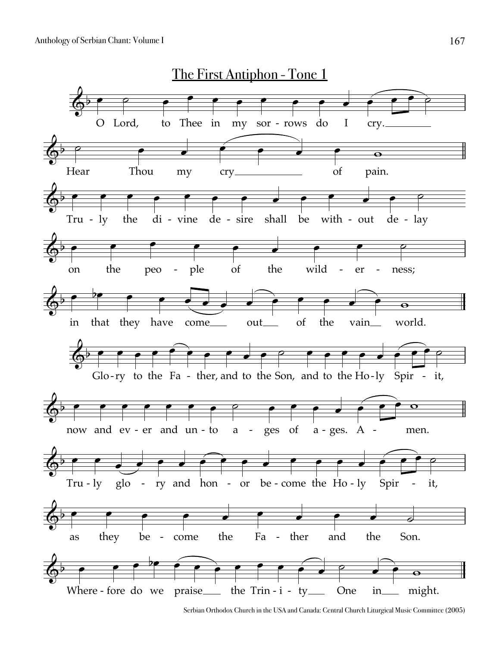

Serbian Orthodox Church in the USA and Canada: Central Church Liturgical Music Committee (2005)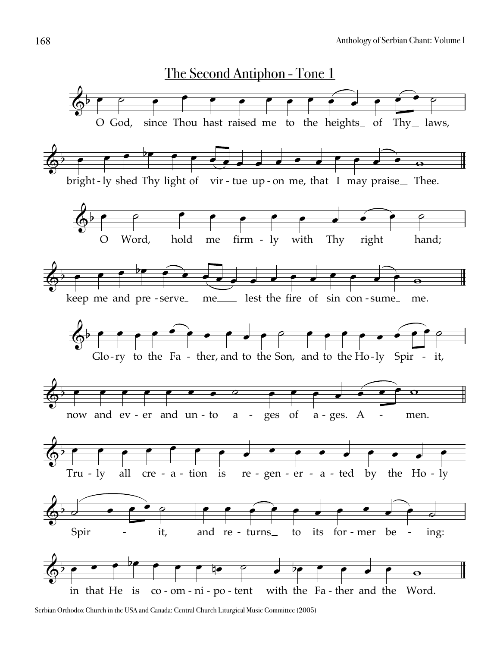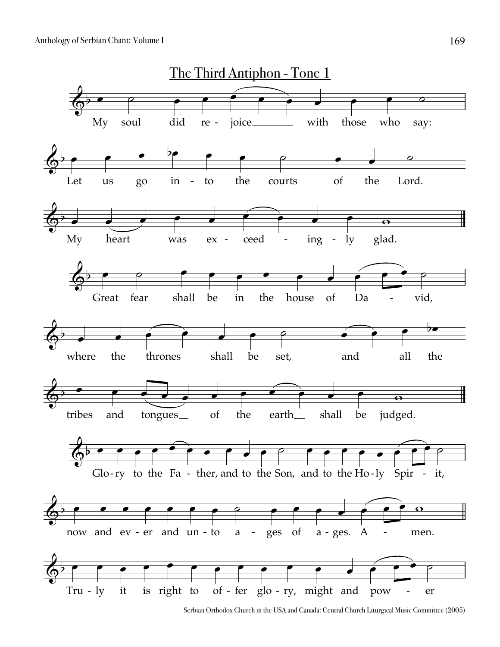

Serbian Orthodox Church in the USA and Canada: Central Church Liturgical Music Committee (2005)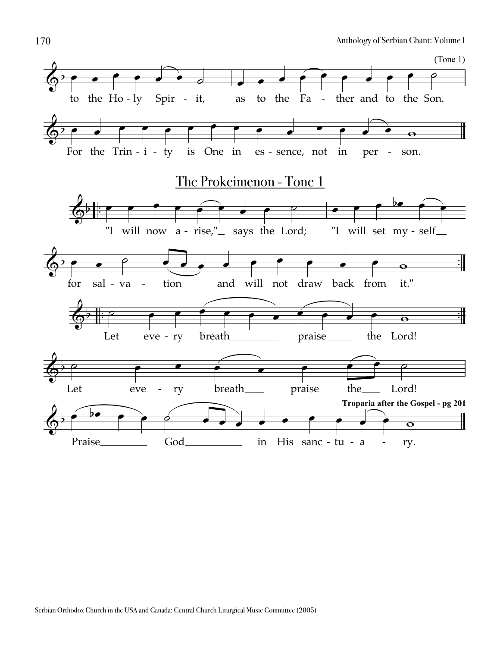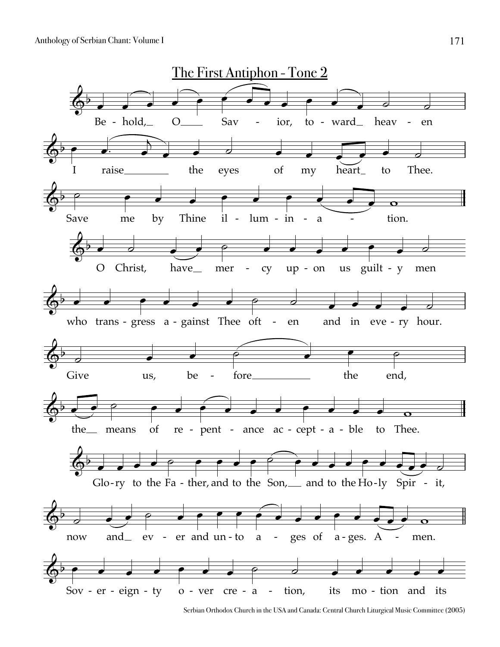

Serbian Orthodox Church in the USA and Canada: Central Church Liturgical Music Committee (2005)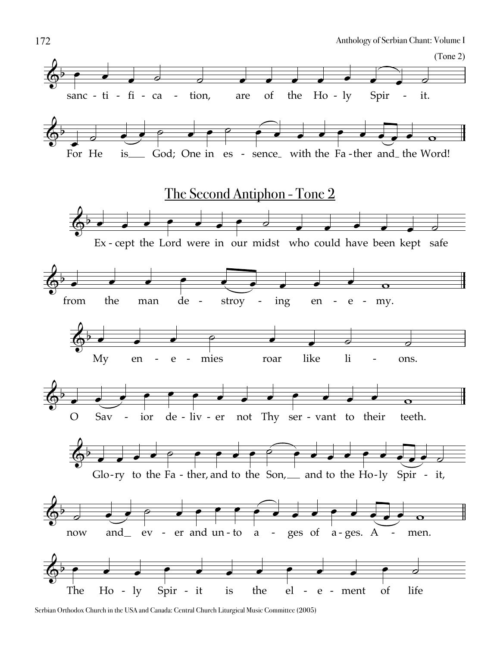

Serbian Orthodox Church in the USA and Canada: Central Church Liturgical Music Committee (2005)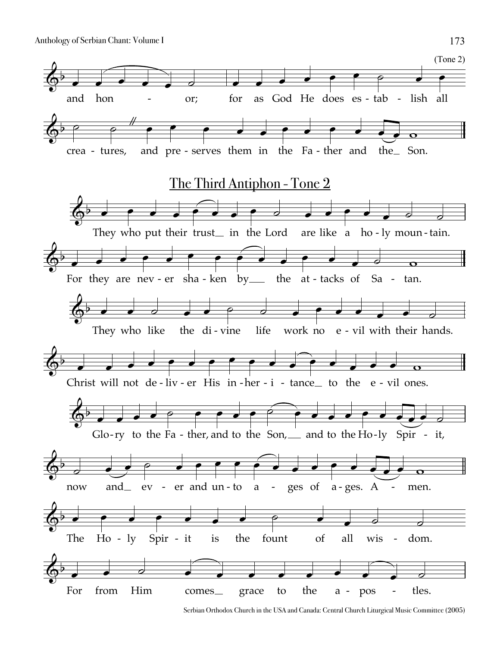

Serbian Orthodox Church in the USA and Canada: Central Church Liturgical Music Committee (2005)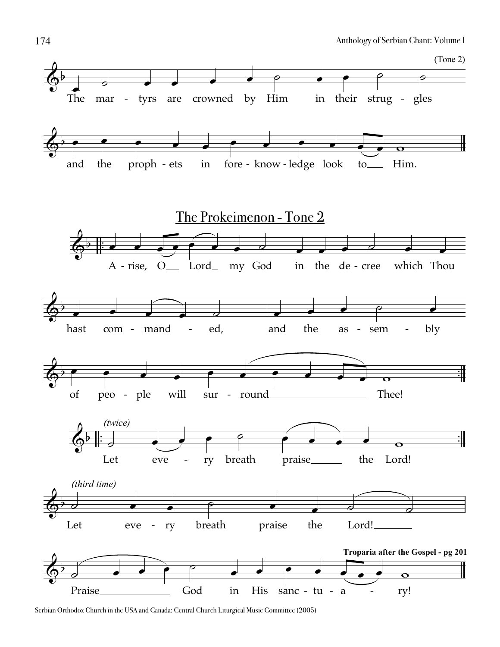

Serbian Orthodox Church in the USA and Canada: Central Church Liturgical Music Committee (2005)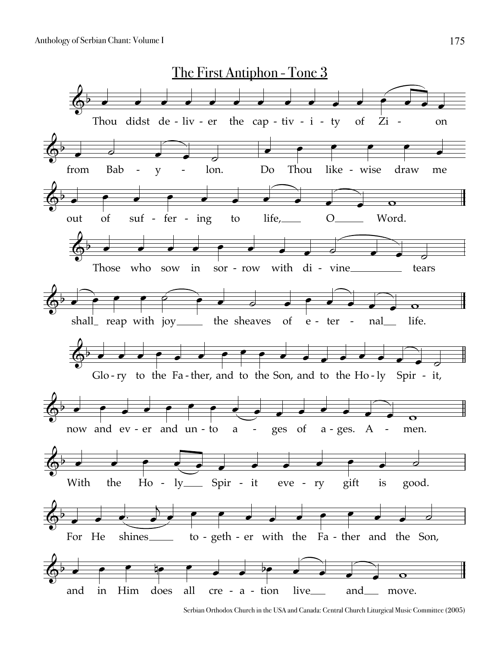

Serbian Orthodox Church in the USA and Canada: Central Church Liturgical Music Committee (2005)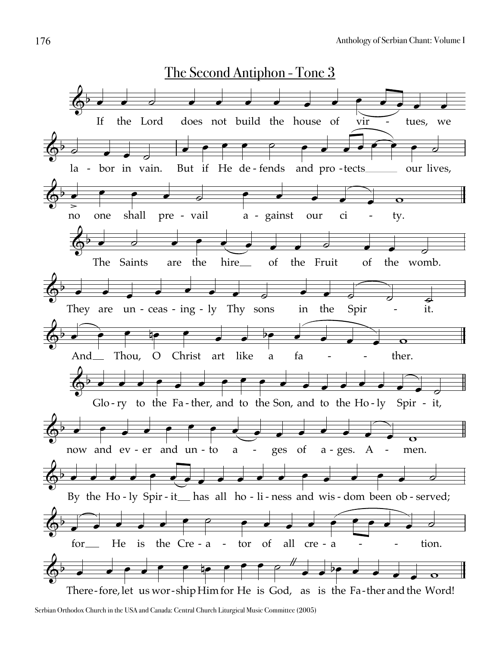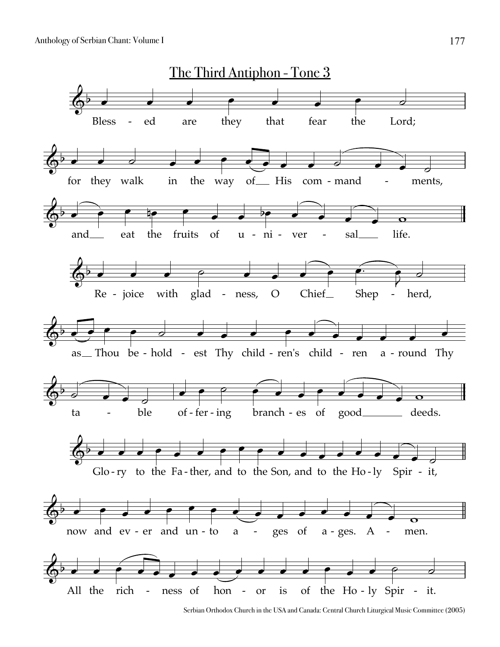

Serbian Orthodox Church in the USA and Canada: Central Church Liturgical Music Committee (2005)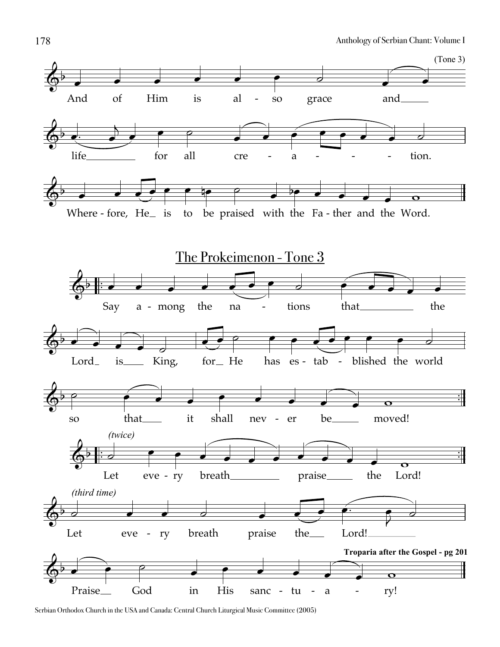

Serbian Orthodox Church in the USA and Canada: Central Church Liturgical Music Committee (2005)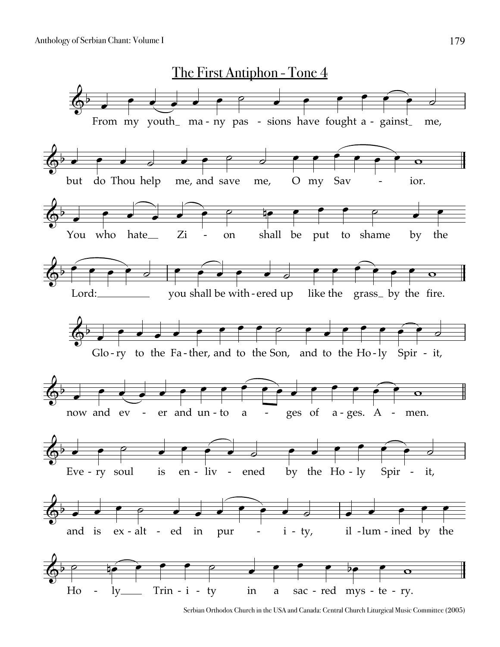

Serbian Orthodox Church in the USA and Canada: Central Church Liturgical Music Committee (2005)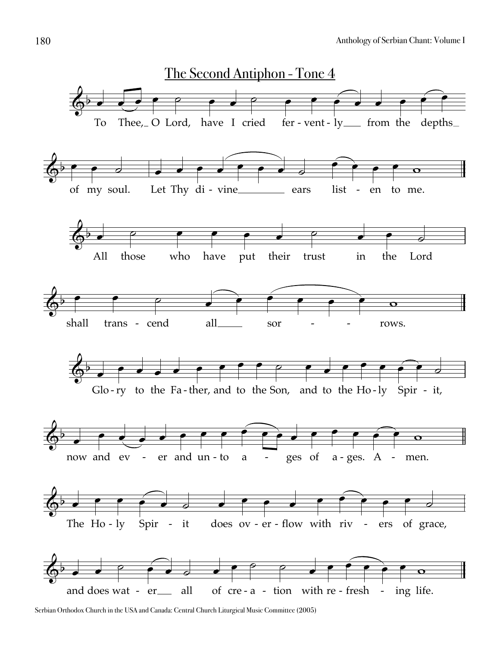

Serbian Orthodox Church in the USA and Canada: Central Church Liturgical Music Committee (2005)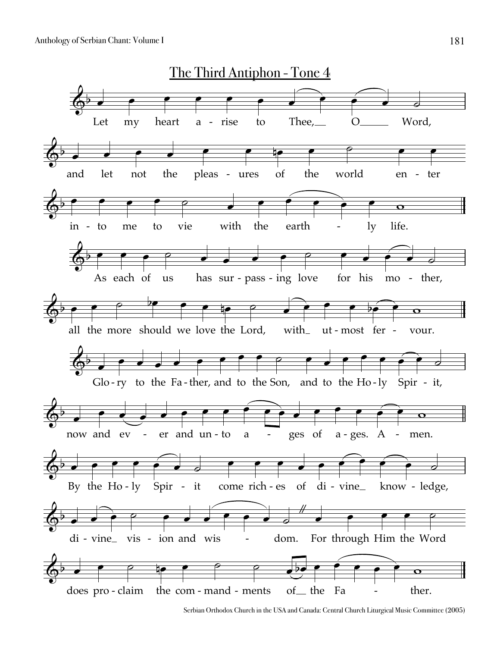

Serbian Orthodox Church in the USA and Canada: Central Church Liturgical Music Committee (2005)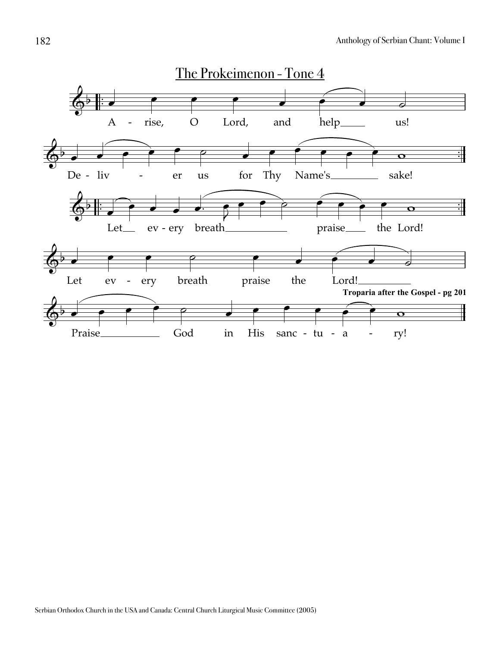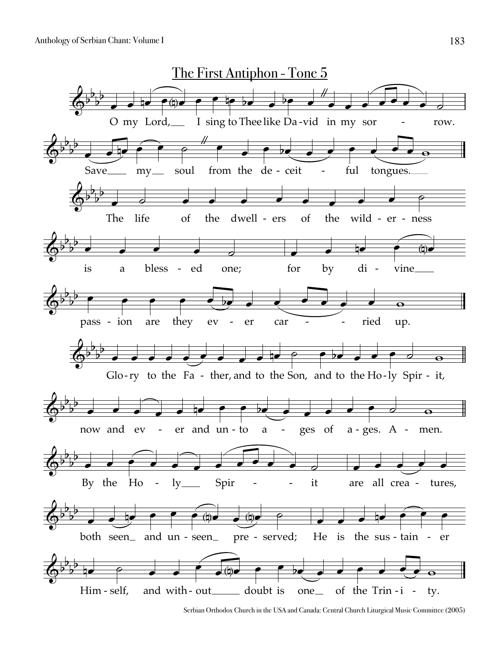

Serbian Orthodox Church in the USA and Canada: Central Church Liturgical Music Committee (2005)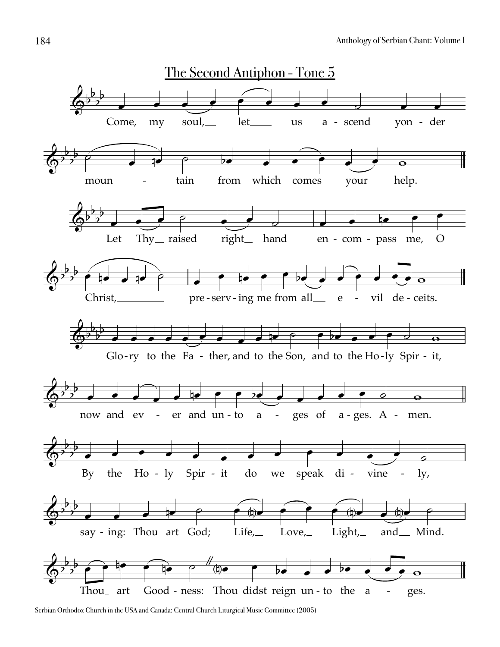

Serbian Orthodox Church in the USA and Canada: Central Church Liturgical Music Committee (2005)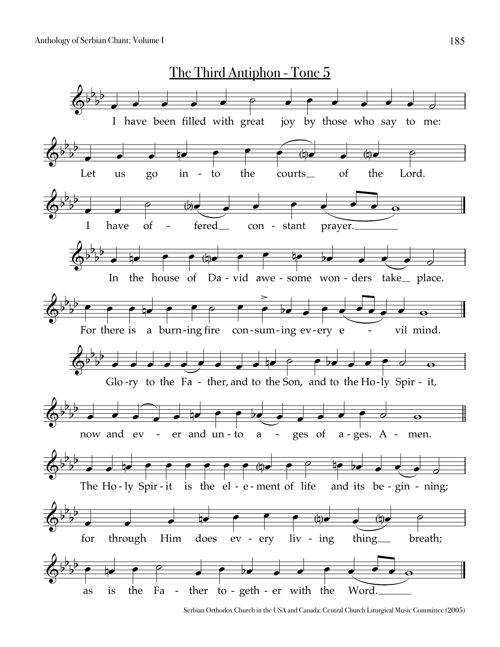

Serbian Orthodox Church in the USA and Canada: Central Church Liturgical Music Committee (2005)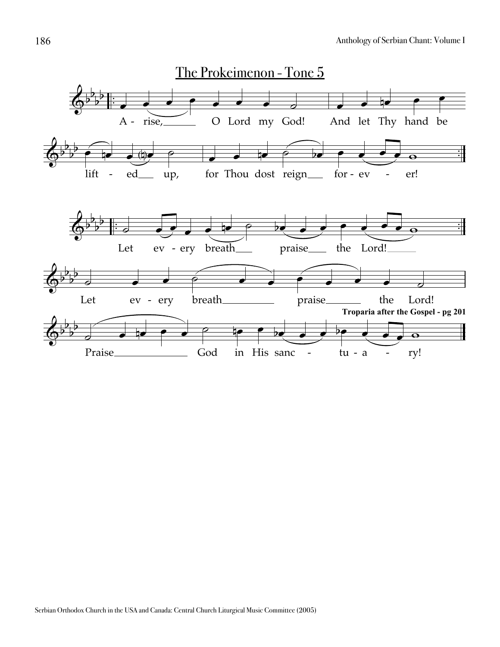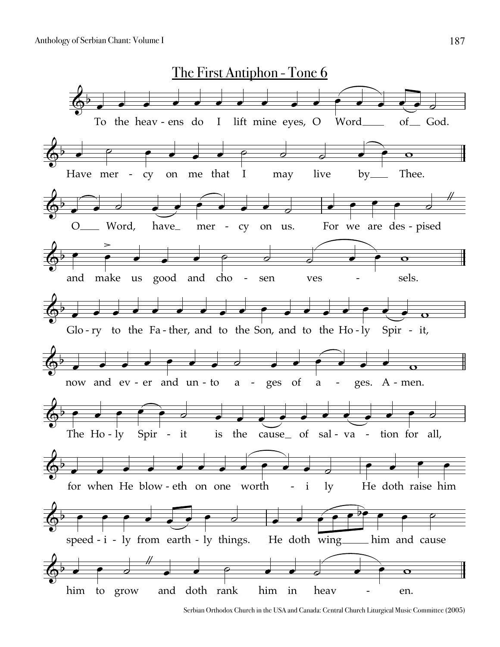

Serbian Orthodox Church in the USA and Canada: Central Church Liturgical Music Committee (2005)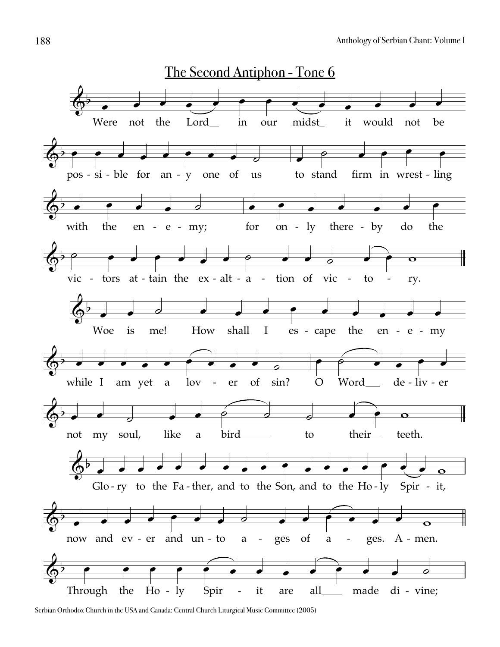

Serbian Orthodox Church in the USA and Canada: Central Church Liturgical Music Committee (2005)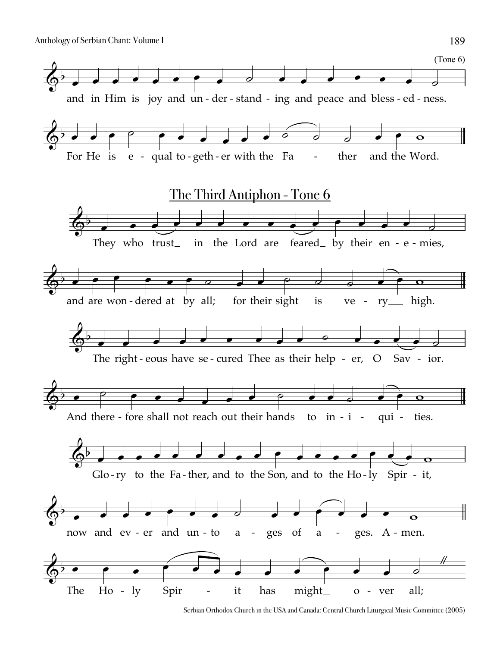

Serbian Orthodox Church in the USA and Canada: Central Church Liturgical Music Committee (2005)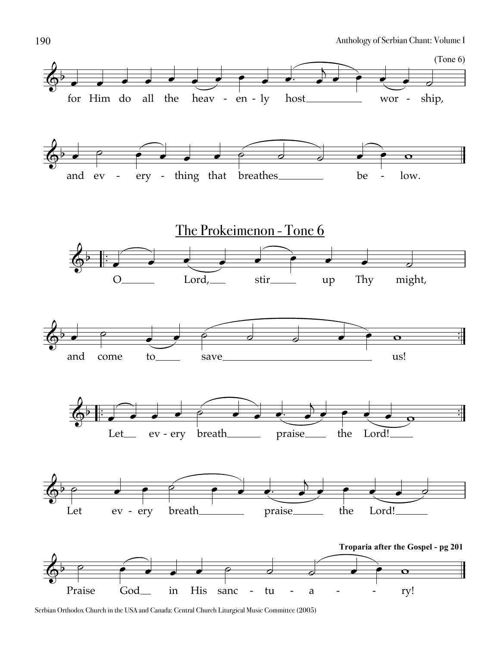

Serbian Orthodox Church in the USA and Canada: Central Church Liturgical Music Committee (2005)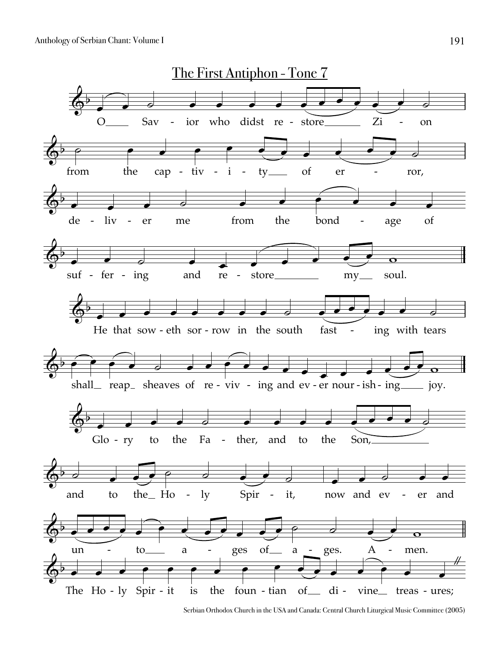

Serbian Orthodox Church in the USA and Canada: Central Church Liturgical Music Committee (2005)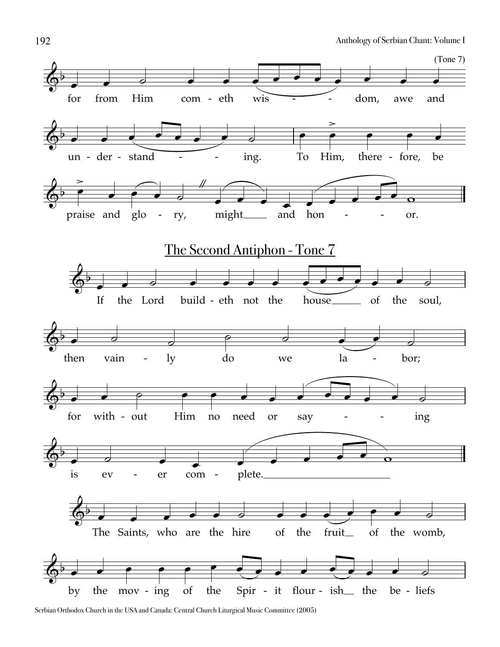

Serbian Orthodox Church in the USA and Canada: Central Church Liturgical Music Committee (2005)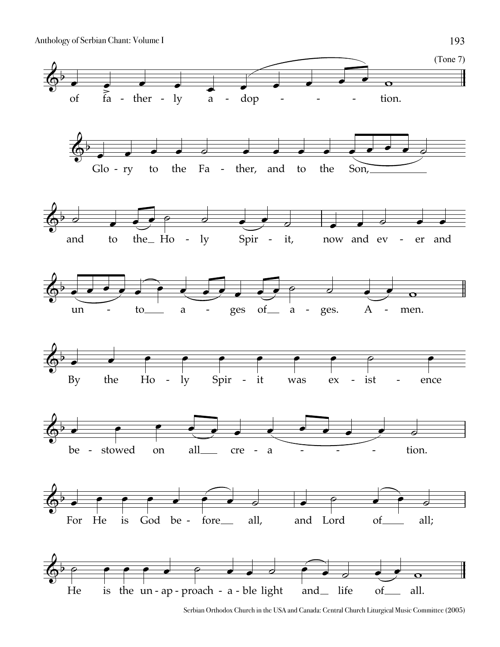

Serbian Orthodox Church in the USA and Canada: Central Church Liturgical Music Committee (2005)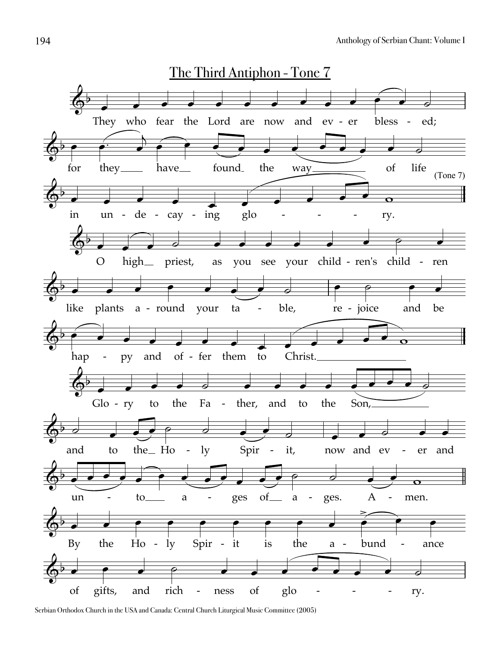

Serbian Orthodox Church in the USA and Canada: Central Church Liturgical Music Committee (2005)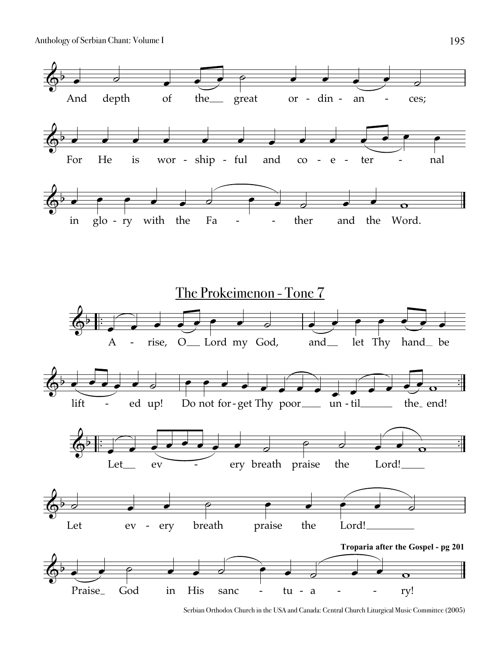

Serbian Orthodox Church in the USA and Canada: Central Church Liturgical Music Committee (2005)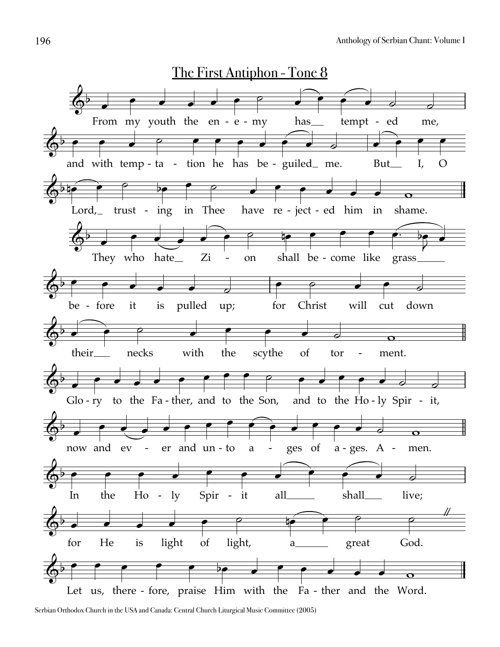

Serbian Orthodox Church in the USA and Canada: Central Church Liturgical Music Committee (2005)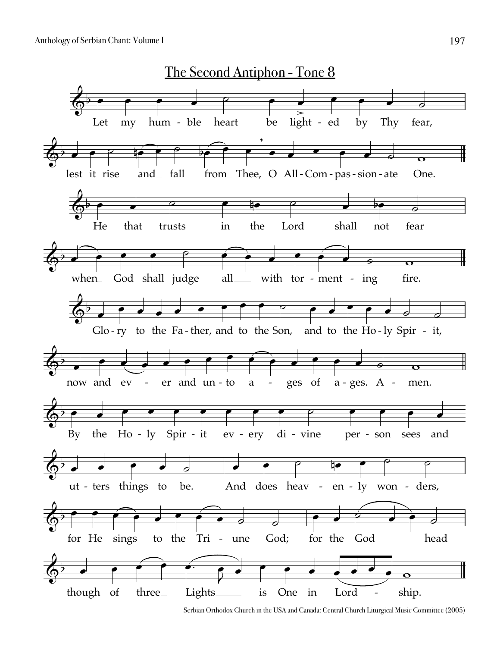

Serbian Orthodox Church in the USA and Canada: Central Church Liturgical Music Committee (2005)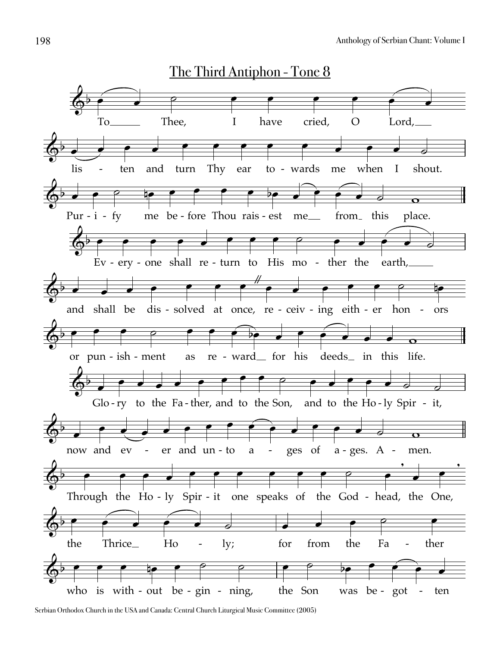

Serbian Orthodox Church in the USA and Canada: Central Church Liturgical Music Committee (2005)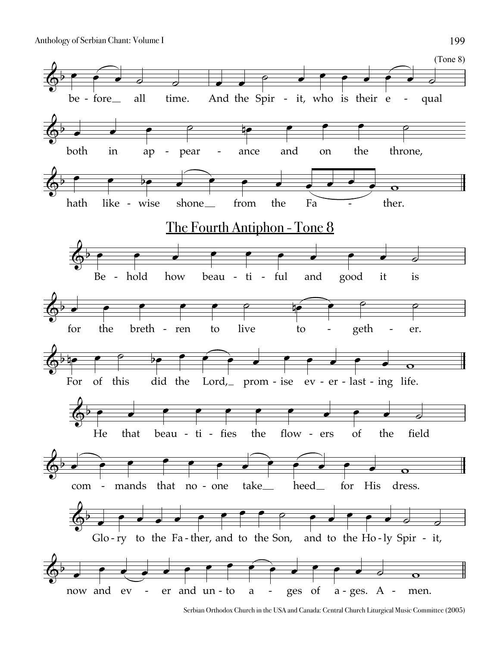

Serbian Orthodox Church in the USA and Canada: Central Church Liturgical Music Committee (2005)